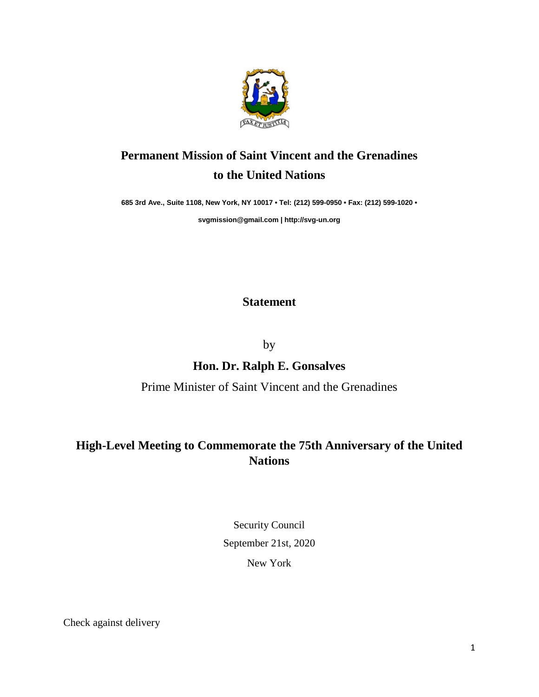

# **Permanent Mission of Saint Vincent and the Grenadines to the United Nations**

**685 3rd Ave., Suite 1108, New York, NY 10017 • Tel: (212) 599-0950 • Fax: (212) 599-1020 •** 

**[svgmission@gmail.com](mailto:svgmission@gmail.com) [| http://svg-un.org](http://svg-un.org/)**

### **Statement**

by

### **Hon. Dr. Ralph E. Gonsalves**

#### Prime Minister of Saint Vincent and the Grenadines

## **High-Level Meeting to Commemorate the 75th Anniversary of the United Nations**

Security Council September 21st, 2020 New York

Check against delivery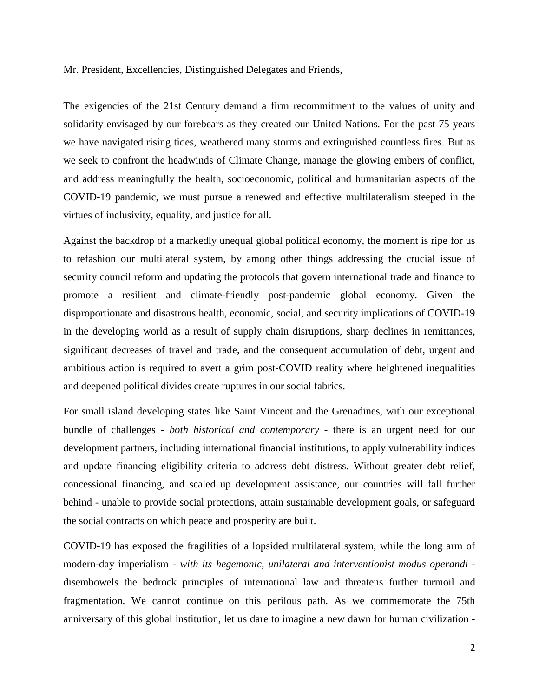Mr. President, Excellencies, Distinguished Delegates and Friends,

The exigencies of the 21st Century demand a firm recommitment to the values of unity and solidarity envisaged by our forebears as they created our United Nations. For the past 75 years we have navigated rising tides, weathered many storms and extinguished countless fires. But as we seek to confront the headwinds of Climate Change, manage the glowing embers of conflict, and address meaningfully the health, socioeconomic, political and humanitarian aspects of the COVID-19 pandemic, we must pursue a renewed and effective multilateralism steeped in the virtues of inclusivity, equality, and justice for all.

Against the backdrop of a markedly unequal global political economy, the moment is ripe for us to refashion our multilateral system, by among other things addressing the crucial issue of security council reform and updating the protocols that govern international trade and finance to promote a resilient and climate-friendly post-pandemic global economy. Given the disproportionate and disastrous health, economic, social, and security implications of COVID-19 in the developing world as a result of supply chain disruptions, sharp declines in remittances, significant decreases of travel and trade, and the consequent accumulation of debt, urgent and ambitious action is required to avert a grim post-COVID reality where heightened inequalities and deepened political divides create ruptures in our social fabrics.

For small island developing states like Saint Vincent and the Grenadines, with our exceptional bundle of challenges - *both historical and contemporary* - there is an urgent need for our development partners, including international financial institutions, to apply vulnerability indices and update financing eligibility criteria to address debt distress. Without greater debt relief, concessional financing, and scaled up development assistance, our countries will fall further behind - unable to provide social protections, attain sustainable development goals, or safeguard the social contracts on which peace and prosperity are built.

COVID-19 has exposed the fragilities of a lopsided multilateral system, while the long arm of modern-day imperialism - *with its hegemonic, unilateral and interventionist modus operandi* disembowels the bedrock principles of international law and threatens further turmoil and fragmentation. We cannot continue on this perilous path. As we commemorate the 75th anniversary of this global institution, let us dare to imagine a new dawn for human civilization -